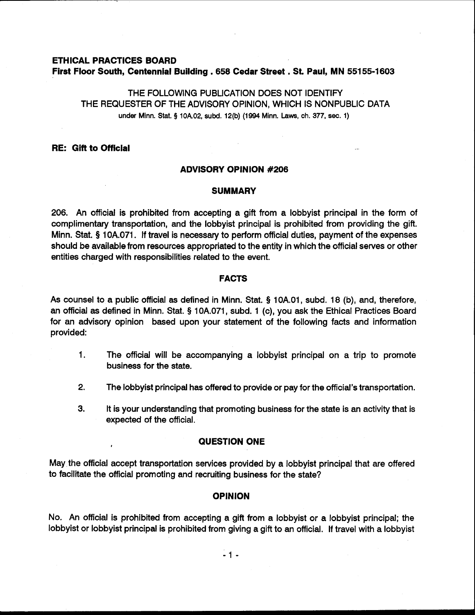# **ETHICAL PRACTICES BOARD First Floor South, Centennial Building** . **658 Cedar Street** . **St. Paul, MN 55155-1 603**

THE FOLLOWING PUBLICATION DOES NOT IDENTIFY THE REQUESTER OF THE ADVISORY OPINION, WHICH IS NONPUBLIC DATA **under Minn.** Stat. **5 10A.02, subd. 12(b) (1994 Minn. Laws, ch. 377, sec. 1)** 

# **RE: Gift to Official**

#### **ADVISORY OPINION #206**

#### **SUMMARY**

206. An official is prohibited from accepting a gift from a lobbyist principal in the form of complimentary transportation, and the lobbyist principal is prohibited from providing the gift. Minn. Stat. § 1 OA.071. If travel is necessary to perform official duties, payment of the expenses should be available from resources appropriated to the entity in which the official serves or other entities charged with responsibilities related to the event.

### **FACTS**

As counsel to a public official as defined in Minn. Stat. § 1 OA.O1, subd. 18 (b), and, therefore, an official as defined in Minn. Stat. **5** 10A.071, subd. 1 (c), you ask the Ethical Practices Board for an advisory opinion based upon your statement of the following facts and information provided:

- **1.** The official will be accompanying a lobbyist principal on a trip to promote business for the state.
- **2.** The lobbyist principal has offered to provide or pay for the official's transportation.
- **3.** It is your understanding that promoting business for the state is an activity that is expected of the official.

### **QUESTION ONE** ,

May the official accept transportation services provided by a lobbyist principal that are offered to facilitate the official promoting and recruiting business for the state?

### **OPINION**

No. An official is prohibited from accepting a gift from a lobbyist or a lobbyist principal; the lobbyist or lobbyist principal is prohibited from giving a gift to an official. If travel with a lobbyist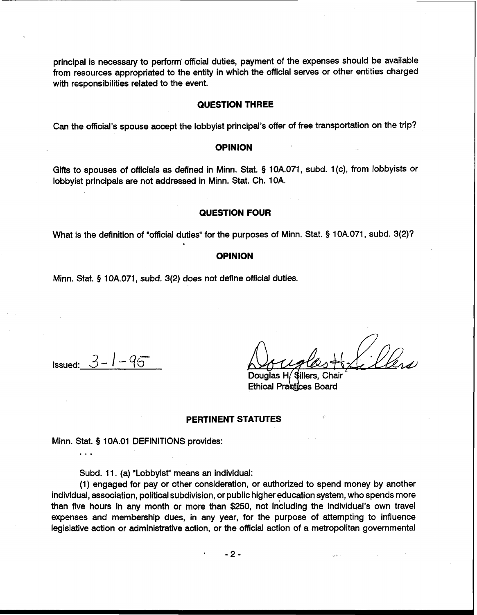principal is necessary to perform' official duties, payment of the expenses should be available from resources appropriated to the entity in which the official serves or other entities charged with responsibilities related to the event.

# **QUESTION THREE**

Can the official's spouse accept the lobbyist principal's offer of free transportation on the trip?

### **OPINION**

Gifts to spouses of officials as defined in Minn. Stat. \$ 10A.071, subd. 1 (c), from lobbyists or lobbyist principals are not addressed in Minn. Stat. Ch. 10A.

## **QUESTION FOUR**

What is the definition of "official duties" for the purposes of Minn. Stat. **9** 10A.071, subd. 3(2)?

#### **OPINION**

Minn. Stat. **5** 10A.071, subd. 3(2) does not define official duties.

**Issued:**  $3 - 1 - 95$ 

. . .

Douglas H Sillers. Ethical Practices Board

### **PERTINENT STATUTES**

Minn. Stat. § 1 OA.O1 DEFINITIONS provides:

Subd. 11. (a) "Lobbyist" means an individual:

(1) engaged for pay or other consideration, or authorized to spend money by another individual, association, political subdivision, or public higher education system, who spends more than five hours in any month or more than \$250, not including the individual's own travel expenses and membership dues, in any year, for the purpose of attempting to influence legislative action or administrative action, or the official action of a metropolitan governmental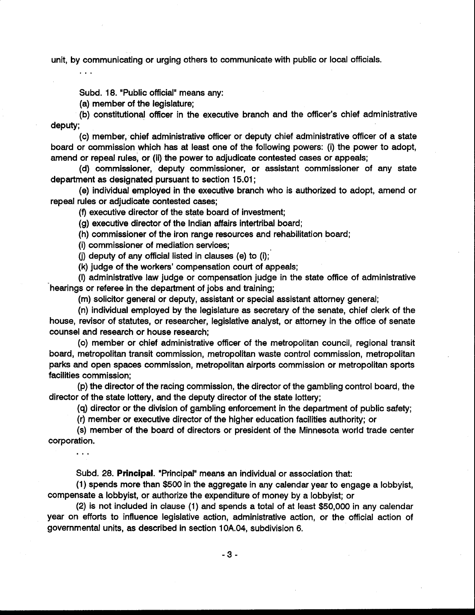unit, by communicating or urging others to communicate with public or local officials.

Subd. 18. "Public official" means any:

(a) member of the legislature;

\*. .

. . .

(b) constitutional officer in the executive branch and the officer's chief administrative deputy;

(c) member, chief administrative officer or deputy chief administrative officer of a state board or commission which has at least one of the following powers: (i) the power to adopt, amend or repeal rules, or (ii) the power to adjudicate contested cases or appeals;

(d) commissioner, deputy commissioner, or assistant commissioner of any state department as designated pursuant to section 15.01 ;

(e) individual employed in the executive branch who is authorized to adopt, amend or repeal rules or adjudicate contested cases;

(9 executive director of the state board of investment;

(g) executive director of the Indian affairs intertribal board;

(h) commissioner of the iron range resources and rehabilitation board;

(i) commissioner of mediation services;

(i) deputy of any official listed in clauses (e) to (i);

(k) judge of the workers' compensation court of appeals;

(I) administrative law judge or compensation judge in the state office of administrative hearings or referee in the department of jobs and training;

(m) solicitor general or deputy, assistant or special assistant attorney general;

(n) individual employed by the legislature as secretary of the senate, chief clerk of the house, revisor of statutes, or researcher, legislative analyst, or attorney in the office of senate counsel and research or house research;

(0) member or chief administrative officer of the metropolitan council, regional transit board, metropolitan transit commission, metropolitan waste control commission, metropolitan parks and open spaces commission, metropolitan airports commission or metropolitan sports facilities commission;

(p) the director of the racing commission, the director of the gambling control board, the director of the state lottery, and the deputy director of the state lottery;

(q) director or the division of gambling enforcement in the department of public safety;

(r) member or executive director of the higher education facilities authority; or

(s) member of the board of directors or president of the Minnesota world trade center corporation.

Subd. 28. Principal. "Principal" means an individual or association that:

(1) spends more than \$500 in the aggregate in any calendar year to engage a lobbyist, compensate a lobbyist, or authorize the expenditure of money by a lobbyist; or

(2) is not included in clause (1) and spends a total of at least \$50,000 in any calendar year on efforts to influence legislative action, administrative action, or the official action of governmental units, as described in section 10A.04, subdivision 6.